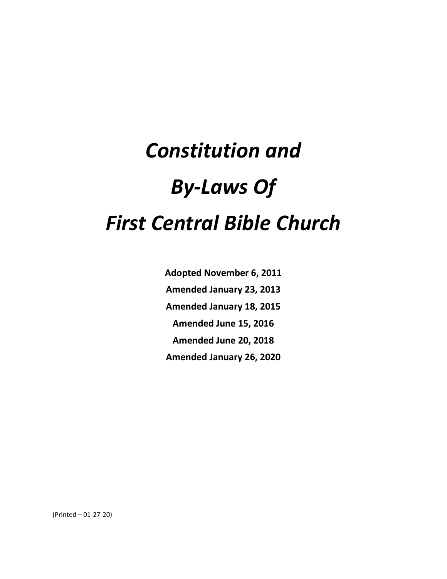**Adopted November 6, 2011 Amended January 23, 2013 Amended January 18, 2015 Amended June 15, 2016 Amended June 20, 2018 Amended January 26, 2020**

(Printed – 01-27-20)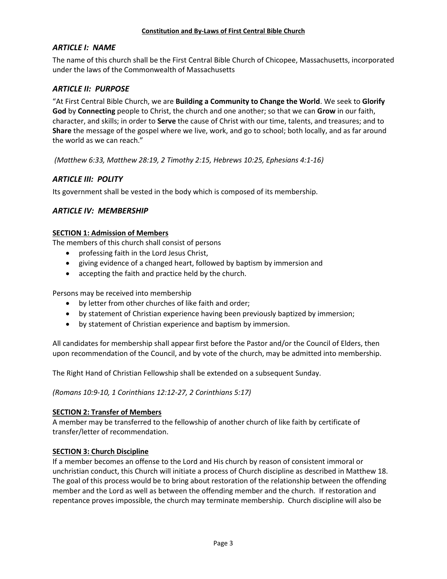# *ARTICLE I: NAME*

The name of this church shall be the First Central Bible Church of Chicopee, Massachusetts, incorporated under the laws of the Commonwealth of Massachusetts

# *ARTICLE II: PURPOSE*

"At First Central Bible Church, we are **Building a Community to Change the World**. We seek to **Glorify God** by **Connecting** people to Christ, the church and one another; so that we can **Grow** in our faith, character, and skills; in order to **Serve** the cause of Christ with our time, talents, and treasures; and to **Share** the message of the gospel where we live, work, and go to school; both locally, and as far around the world as we can reach."

*(Matthew 6:33, Matthew 28:19, 2 Timothy 2:15, Hebrews 10:25, Ephesians 4:1-16)*

# *ARTICLE III: POLITY*

Its government shall be vested in the body which is composed of its membership.

# *ARTICLE IV: MEMBERSHIP*

## **SECTION 1: Admission of Members**

The members of this church shall consist of persons

- professing faith in the Lord Jesus Christ,
- giving evidence of a changed heart, followed by baptism by immersion and
- accepting the faith and practice held by the church.

Persons may be received into membership

- by letter from other churches of like faith and order;
- by statement of Christian experience having been previously baptized by immersion;
- by statement of Christian experience and baptism by immersion.

All candidates for membership shall appear first before the Pastor and/or the Council of Elders, then upon recommendation of the Council, and by vote of the church, may be admitted into membership.

The Right Hand of Christian Fellowship shall be extended on a subsequent Sunday.

*(Romans 10:9-10, 1 Corinthians 12:12-27, 2 Corinthians 5:17)*

## **SECTION 2: Transfer of Members**

A member may be transferred to the fellowship of another church of like faith by certificate of transfer/letter of recommendation.

## **SECTION 3: Church Discipline**

If a member becomes an offense to the Lord and His church by reason of consistent immoral or unchristian conduct, this Church will initiate a process of Church discipline as described in Matthew 18. The goal of this process would be to bring about restoration of the relationship between the offending member and the Lord as well as between the offending member and the church. If restoration and repentance proves impossible, the church may terminate membership. Church discipline will also be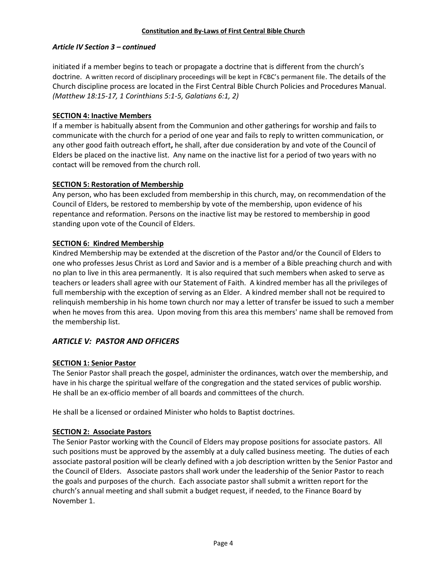## *Article IV Section 3 – continued*

initiated if a member begins to teach or propagate a doctrine that is different from the church's doctrine. A written record of disciplinary proceedings will be kept in FCBC's permanent file. The details of the Church discipline process are located in the First Central Bible Church Policies and Procedures Manual. *(Matthew 18:15-17, 1 Corinthians 5:1-5, Galatians 6:1, 2)*

## **SECTION 4: Inactive Members**

If a member is habitually absent from the Communion and other gatherings for worship and fails to communicate with the church for a period of one year and fails to reply to written communication, or any other good faith outreach effort**,** he shall, after due consideration by and vote of the Council of Elders be placed on the inactive list. Any name on the inactive list for a period of two years with no contact will be removed from the church roll.

## **SECTION 5: Restoration of Membership**

Any person, who has been excluded from membership in this church, may, on recommendation of the Council of Elders, be restored to membership by vote of the membership, upon evidence of his repentance and reformation. Persons on the inactive list may be restored to membership in good standing upon vote of the Council of Elders.

## **SECTION 6: Kindred Membership**

Kindred Membership may be extended at the discretion of the Pastor and/or the Council of Elders to one who professes Jesus Christ as Lord and Savior and is a member of a Bible preaching church and with no plan to live in this area permanently. It is also required that such members when asked to serve as teachers or leaders shall agree with our Statement of Faith. A kindred member has all the privileges of full membership with the exception of serving as an Elder. A kindred member shall not be required to relinquish membership in his home town church nor may a letter of transfer be issued to such a member when he moves from this area. Upon moving from this area this members' name shall be removed from the membership list.

# *ARTICLE V: PASTOR AND OFFICERS*

# **SECTION 1: Senior Pastor**

The Senior Pastor shall preach the gospel, administer the ordinances, watch over the membership, and have in his charge the spiritual welfare of the congregation and the stated services of public worship. He shall be an ex-officio member of all boards and committees of the church.

He shall be a licensed or ordained Minister who holds to Baptist doctrines.

# **SECTION 2: Associate Pastors**

The Senior Pastor working with the Council of Elders may propose positions for associate pastors. All such positions must be approved by the assembly at a duly called business meeting. The duties of each associate pastoral position will be clearly defined with a job description written by the Senior Pastor and the Council of Elders. Associate pastors shall work under the leadership of the Senior Pastor to reach the goals and purposes of the church. Each associate pastor shall submit a written report for the church's annual meeting and shall submit a budget request, if needed, to the Finance Board by November 1.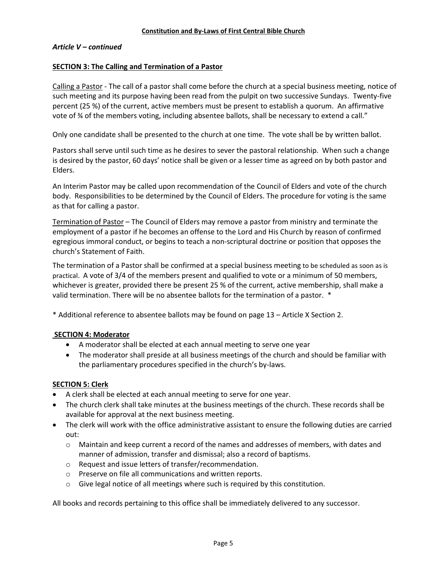#### *Article V – continued*

## **SECTION 3: The Calling and Termination of a Pastor**

Calling a Pastor - The call of a pastor shall come before the church at a special business meeting, notice of such meeting and its purpose having been read from the pulpit on two successive Sundays. Twenty-five percent (25 %) of the current, active members must be present to establish a quorum. An affirmative vote of ¾ of the members voting, including absentee ballots, shall be necessary to extend a call."

Only one candidate shall be presented to the church at one time. The vote shall be by written ballot.

Pastors shall serve until such time as he desires to sever the pastoral relationship. When such a change is desired by the pastor, 60 days' notice shall be given or a lesser time as agreed on by both pastor and Elders.

An Interim Pastor may be called upon recommendation of the Council of Elders and vote of the church body. Responsibilities to be determined by the Council of Elders. The procedure for voting is the same as that for calling a pastor.

Termination of Pastor – The Council of Elders may remove a pastor from ministry and terminate the employment of a pastor if he becomes an offense to the Lord and His Church by reason of confirmed egregious immoral conduct, or begins to teach a non-scriptural doctrine or position that opposes the church's Statement of Faith.

The termination of a Pastor shall be confirmed at a special business meeting to be scheduled as soon as is practical. A vote of 3/4 of the members present and qualified to vote or a minimum of 50 members, whichever is greater, provided there be present 25 % of the current, active membership, shall make a valid termination. There will be no absentee ballots for the termination of a pastor. \*

\* Additional reference to absentee ballots may be found on page 13 – Article X Section 2.

#### **SECTION 4: Moderator**

- A moderator shall be elected at each annual meeting to serve one year
- The moderator shall preside at all business meetings of the church and should be familiar with the parliamentary procedures specified in the church's by-laws.

## **SECTION 5: Clerk**

- A clerk shall be elected at each annual meeting to serve for one year.
- The church clerk shall take minutes at the business meetings of the church. These records shall be available for approval at the next business meeting.
- The clerk will work with the office administrative assistant to ensure the following duties are carried out:
	- $\circ$  Maintain and keep current a record of the names and addresses of members, with dates and manner of admission, transfer and dismissal; also a record of baptisms.
	- o Request and issue letters of transfer/recommendation.
	- o Preserve on file all communications and written reports.
	- $\circ$  Give legal notice of all meetings where such is required by this constitution.

All books and records pertaining to this office shall be immediately delivered to any successor.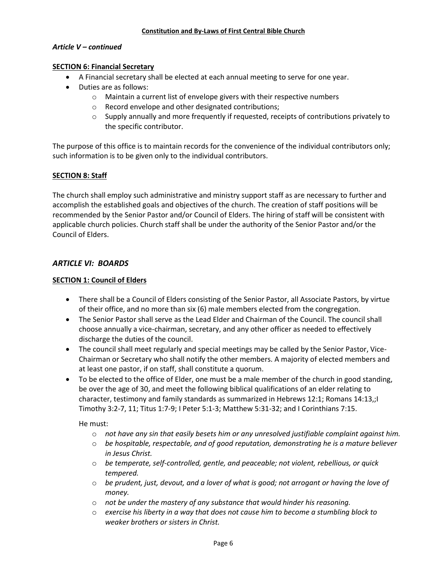#### *Article V – continued*

## **SECTION 6: Financial Secretary**

- A Financial secretary shall be elected at each annual meeting to serve for one year.
- Duties are as follows:
	- o Maintain a current list of envelope givers with their respective numbers
	- o Record envelope and other designated contributions;
	- o Supply annually and more frequently if requested, receipts of contributions privately to the specific contributor.

The purpose of this office is to maintain records for the convenience of the individual contributors only; such information is to be given only to the individual contributors.

## **SECTION 8: Staff**

The church shall employ such administrative and ministry support staff as are necessary to further and accomplish the established goals and objectives of the church. The creation of staff positions will be recommended by the Senior Pastor and/or Council of Elders. The hiring of staff will be consistent with applicable church policies. Church staff shall be under the authority of the Senior Pastor and/or the Council of Elders.

# *ARTICLE VI: BOARDS*

## **SECTION 1: Council of Elders**

- There shall be a Council of Elders consisting of the Senior Pastor, all Associate Pastors, by virtue of their office, and no more than six (6) male members elected from the congregation.
- The Senior Pastor shall serve as the Lead Elder and Chairman of the Council. The council shall choose annually a vice-chairman, secretary, and any other officer as needed to effectively discharge the duties of the council.
- The council shall meet regularly and special meetings may be called by the Senior Pastor, Vice-Chairman or Secretary who shall notify the other members. A majority of elected members and at least one pastor, if on staff, shall constitute a quorum.
- To be elected to the office of Elder, one must be a male member of the church in good standing, be over the age of 30, and meet the following biblical qualifications of an elder relating to character, testimony and family standards as summarized in Hebrews 12:1; Romans 14:13,; I Timothy 3:2-7, 11; Titus 1:7-9; I Peter 5:1-3; Matthew 5:31-32; and I Corinthians 7:15.

He must:

- o *not have any sin that easily besets him or any unresolved justifiable complaint against him.*
- o *be hospitable, respectable, and of good reputation, demonstrating he is a mature believer in Jesus Christ.*
- o *be temperate, self-controlled, gentle, and peaceable; not violent, rebellious, or quick tempered.*
- o *be prudent, just, devout, and a lover of what is good; not arrogant or having the love of money.*
- o *not be under the mastery of any substance that would hinder his reasoning.*
- o *exercise his liberty in a way that does not cause him to become a stumbling block to weaker brothers or sisters in Christ.*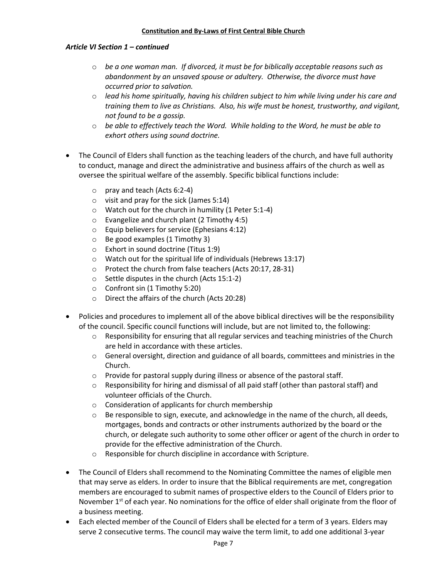## *Article VI Section 1 – continued*

- o *be a one woman man. If divorced, it must be for biblically acceptable reasons such as abandonment by an unsaved spouse or adultery. Otherwise, the divorce must have occurred prior to salvation.*
- o *lead his home spiritually, having his children subject to him while living under his care and training them to live as Christians. Also, his wife must be honest, trustworthy, and vigilant, not found to be a gossip.*
- o *be able to effectively teach the Word. While holding to the Word, he must be able to exhort others using sound doctrine.*
- The Council of Elders shall function as the teaching leaders of the church, and have full authority to conduct, manage and direct the administrative and business affairs of the church as well as oversee the spiritual welfare of the assembly. Specific biblical functions include:
	- o pray and teach (Acts 6:2-4)
	- $\circ$  visit and pray for the sick (James 5:14)
	- o Watch out for the church in humility (1 Peter 5:1-4)
	- o Evangelize and church plant (2 Timothy 4:5)
	- o Equip believers for service (Ephesians 4:12)
	- o Be good examples (1 Timothy 3)
	- o Exhort in sound doctrine (Titus 1:9)
	- $\circ$  Watch out for the spiritual life of individuals (Hebrews 13:17)
	- o Protect the church from false teachers (Acts 20:17, 28-31)
	- o Settle disputes in the church (Acts 15:1-2)
	- o Confront sin (1 Timothy 5:20)
	- o Direct the affairs of the church (Acts 20:28)
- Policies and procedures to implement all of the above biblical directives will be the responsibility of the council. Specific council functions will include, but are not limited to, the following:
	- $\circ$  Responsibility for ensuring that all regular services and teaching ministries of the Church are held in accordance with these articles.
	- $\circ$  General oversight, direction and guidance of all boards, committees and ministries in the Church.
	- o Provide for pastoral supply during illness or absence of the pastoral staff.
	- $\circ$  Responsibility for hiring and dismissal of all paid staff (other than pastoral staff) and volunteer officials of the Church.
	- o Consideration of applicants for church membership
	- $\circ$  Be responsible to sign, execute, and acknowledge in the name of the church, all deeds, mortgages, bonds and contracts or other instruments authorized by the board or the church, or delegate such authority to some other officer or agent of the church in order to provide for the effective administration of the Church.
	- o Responsible for church discipline in accordance with Scripture.
- The Council of Elders shall recommend to the Nominating Committee the names of eligible men that may serve as elders. In order to insure that the Biblical requirements are met, congregation members are encouraged to submit names of prospective elders to the Council of Elders prior to November 1<sup>st</sup> of each year. No nominations for the office of elder shall originate from the floor of a business meeting.
- Each elected member of the Council of Elders shall be elected for a term of 3 years. Elders may serve 2 consecutive terms. The council may waive the term limit, to add one additional 3-year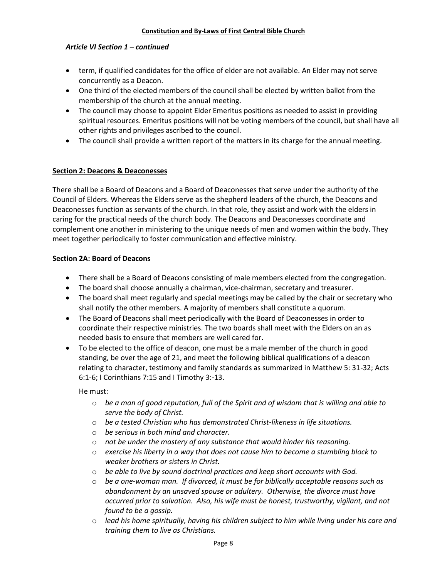## *Article VI Section 1 – continued*

- term, if qualified candidates for the office of elder are not available. An Elder may not serve concurrently as a Deacon.
- One third of the elected members of the council shall be elected by written ballot from the membership of the church at the annual meeting.
- The council may choose to appoint Elder Emeritus positions as needed to assist in providing spiritual resources. Emeritus positions will not be voting members of the council, but shall have all other rights and privileges ascribed to the council.
- The council shall provide a written report of the matters in its charge for the annual meeting.

## **Section 2: Deacons & Deaconesses**

There shall be a Board of Deacons and a Board of Deaconesses that serve under the authority of the Council of Elders. Whereas the Elders serve as the shepherd leaders of the church, the Deacons and Deaconesses function as servants of the church. In that role, they assist and work with the elders in caring for the practical needs of the church body. The Deacons and Deaconesses coordinate and complement one another in ministering to the unique needs of men and women within the body. They meet together periodically to foster communication and effective ministry.

#### **Section 2A: Board of Deacons**

- There shall be a Board of Deacons consisting of male members elected from the congregation.
- The board shall choose annually a chairman, vice-chairman, secretary and treasurer.
- The board shall meet regularly and special meetings may be called by the chair or secretary who shall notify the other members. A majority of members shall constitute a quorum.
- The Board of Deacons shall meet periodically with the Board of Deaconesses in order to coordinate their respective ministries. The two boards shall meet with the Elders on an as needed basis to ensure that members are well cared for.
- To be elected to the office of deacon, one must be a male member of the church in good standing, be over the age of 21, and meet the following biblical qualifications of a deacon relating to character, testimony and family standards as summarized in Matthew 5: 31-32; Acts 6:1-6; I Corinthians 7:15 and I Timothy 3:-13.

He must:

- o *be a man of good reputation, full of the Spirit and of wisdom that is willing and able to serve the body of Christ.*
- o *be a tested Christian who has demonstrated Christ-likeness in life situations.*
- o *be serious in both mind and character.*
- o *not be under the mastery of any substance that would hinder his reasoning.*
- o *exercise his liberty in a way that does not cause him to become a stumbling block to weaker brothers or sisters in Christ.*
- o *be able to live by sound doctrinal practices and keep short accounts with God.*
- o *be a one-woman man. If divorced, it must be for biblically acceptable reasons such as abandonment by an unsaved spouse or adultery. Otherwise, the divorce must have occurred prior to salvation. Also, his wife must be honest, trustworthy, vigilant, and not found to be a gossip.*
- o *lead his home spiritually, having his children subject to him while living under his care and training them to live as Christians.*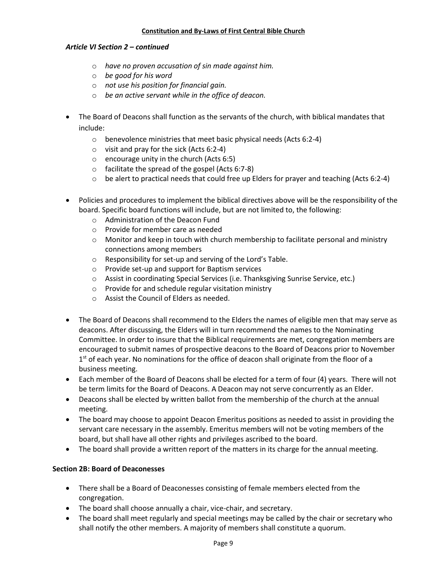#### *Article VI Section 2 – continued*

- o *have no proven accusation of sin made against him.*
- o *be good for his word*
- o *not use his position for financial gain.*
- o *be an active servant while in the office of deacon.*
- The Board of Deacons shall function as the servants of the church, with biblical mandates that include:
	- o benevolence ministries that meet basic physical needs (Acts 6:2-4)
	- $\circ$  visit and pray for the sick (Acts 6:2-4)
	- o encourage unity in the church (Acts 6:5)
	- o facilitate the spread of the gospel (Acts 6:7-8)
	- $\circ$  be alert to practical needs that could free up Elders for prayer and teaching (Acts 6:2-4)
- Policies and procedures to implement the biblical directives above will be the responsibility of the board. Specific board functions will include, but are not limited to, the following:
	- o Administration of the Deacon Fund
	- o Provide for member care as needed
	- $\circ$  Monitor and keep in touch with church membership to facilitate personal and ministry connections among members
	- o Responsibility for set-up and serving of the Lord's Table.
	- o Provide set-up and support for Baptism services
	- o Assist in coordinating Special Services (i.e. Thanksgiving Sunrise Service, etc.)
	- o Provide for and schedule regular visitation ministry
	- o Assist the Council of Elders as needed.
- The Board of Deacons shall recommend to the Elders the names of eligible men that may serve as deacons. After discussing, the Elders will in turn recommend the names to the Nominating Committee. In order to insure that the Biblical requirements are met, congregation members are encouraged to submit names of prospective deacons to the Board of Deacons prior to November 1<sup>st</sup> of each year. No nominations for the office of deacon shall originate from the floor of a business meeting.
- Each member of the Board of Deacons shall be elected for a term of four (4) years. There will not be term limits for the Board of Deacons. A Deacon may not serve concurrently as an Elder.
- Deacons shall be elected by written ballot from the membership of the church at the annual meeting.
- The board may choose to appoint Deacon Emeritus positions as needed to assist in providing the servant care necessary in the assembly. Emeritus members will not be voting members of the board, but shall have all other rights and privileges ascribed to the board.
- The board shall provide a written report of the matters in its charge for the annual meeting.

## **Section 2B: Board of Deaconesses**

- There shall be a Board of Deaconesses consisting of female members elected from the congregation.
- The board shall choose annually a chair, vice-chair, and secretary.
- The board shall meet regularly and special meetings may be called by the chair or secretary who shall notify the other members. A majority of members shall constitute a quorum.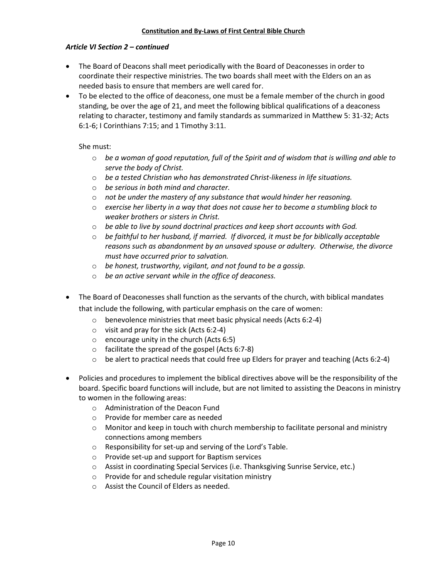## *Article VI Section 2 – continued*

- The Board of Deacons shall meet periodically with the Board of Deaconesses in order to coordinate their respective ministries. The two boards shall meet with the Elders on an as needed basis to ensure that members are well cared for.
- To be elected to the office of deaconess, one must be a female member of the church in good standing, be over the age of 21, and meet the following biblical qualifications of a deaconess relating to character, testimony and family standards as summarized in Matthew 5: 31-32; Acts 6:1-6; I Corinthians 7:15; and 1 Timothy 3:11.

## She must:

- o *be a woman of good reputation, full of the Spirit and of wisdom that is willing and able to serve the body of Christ.*
- o *be a tested Christian who has demonstrated Christ-likeness in life situations.*
- o *be serious in both mind and character.*
- o *not be under the mastery of any substance that would hinder her reasoning.*
- o *exercise her liberty in a way that does not cause her to become a stumbling block to weaker brothers or sisters in Christ.*
- o *be able to live by sound doctrinal practices and keep short accounts with God.*
- o *be faithful to her husband, if married. If divorced, it must be for biblically acceptable reasons such as abandonment by an unsaved spouse or adultery. Otherwise, the divorce must have occurred prior to salvation.*
- o *be honest, trustworthy, vigilant, and not found to be a gossip.*
- o *be an active servant while in the office of deaconess.*
- The Board of Deaconesses shall function as the servants of the church, with biblical mandates that include the following, with particular emphasis on the care of women:
	- o benevolence ministries that meet basic physical needs (Acts 6:2-4)
	- o visit and pray for the sick (Acts 6:2-4)
	- $\circ$  encourage unity in the church (Acts 6:5)
	- o facilitate the spread of the gospel (Acts 6:7-8)
	- $\circ$  be alert to practical needs that could free up Elders for prayer and teaching (Acts 6:2-4)
- Policies and procedures to implement the biblical directives above will be the responsibility of the board. Specific board functions will include, but are not limited to assisting the Deacons in ministry to women in the following areas:
	- o Administration of the Deacon Fund
	- o Provide for member care as needed
	- $\circ$  Monitor and keep in touch with church membership to facilitate personal and ministry connections among members
	- o Responsibility for set-up and serving of the Lord's Table.
	- o Provide set-up and support for Baptism services
	- o Assist in coordinating Special Services (i.e. Thanksgiving Sunrise Service, etc.)
	- o Provide for and schedule regular visitation ministry
	- o Assist the Council of Elders as needed.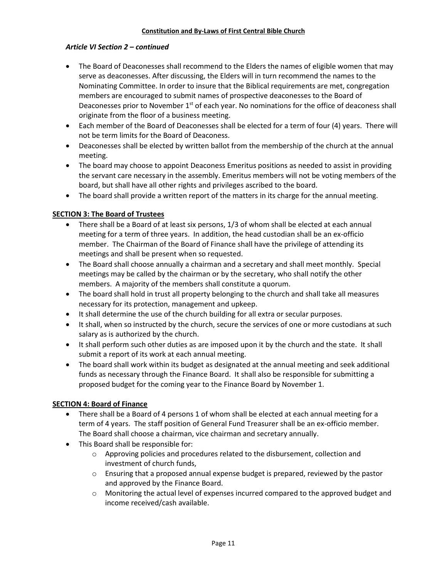# *Article VI Section 2 – continued*

- The Board of Deaconesses shall recommend to the Elders the names of eligible women that may serve as deaconesses. After discussing, the Elders will in turn recommend the names to the Nominating Committee. In order to insure that the Biblical requirements are met, congregation members are encouraged to submit names of prospective deaconesses to the Board of Deaconesses prior to November  $1<sup>st</sup>$  of each year. No nominations for the office of deaconess shall originate from the floor of a business meeting.
- Each member of the Board of Deaconesses shall be elected for a term of four (4) years. There will not be term limits for the Board of Deaconess.
- Deaconesses shall be elected by written ballot from the membership of the church at the annual meeting.
- The board may choose to appoint Deaconess Emeritus positions as needed to assist in providing the servant care necessary in the assembly. Emeritus members will not be voting members of the board, but shall have all other rights and privileges ascribed to the board.
- The board shall provide a written report of the matters in its charge for the annual meeting.

# **SECTION 3: The Board of Trustees**

- There shall be a Board of at least six persons, 1/3 of whom shall be elected at each annual meeting for a term of three years. In addition, the head custodian shall be an ex-officio member. The Chairman of the Board of Finance shall have the privilege of attending its meetings and shall be present when so requested.
- The Board shall choose annually a chairman and a secretary and shall meet monthly. Special meetings may be called by the chairman or by the secretary, who shall notify the other members. A majority of the members shall constitute a quorum.
- The board shall hold in trust all property belonging to the church and shall take all measures necessary for its protection, management and upkeep.
- It shall determine the use of the church building for all extra or secular purposes.
- It shall, when so instructed by the church, secure the services of one or more custodians at such salary as is authorized by the church.
- It shall perform such other duties as are imposed upon it by the church and the state. It shall submit a report of its work at each annual meeting.
- The board shall work within its budget as designated at the annual meeting and seek additional funds as necessary through the Finance Board. It shall also be responsible for submitting a proposed budget for the coming year to the Finance Board by November 1.

# **SECTION 4: Board of Finance**

- There shall be a Board of 4 persons 1 of whom shall be elected at each annual meeting for a term of 4 years. The staff position of General Fund Treasurer shall be an ex-officio member. The Board shall choose a chairman, vice chairman and secretary annually.
- This Board shall be responsible for:
	- o Approving policies and procedures related to the disbursement, collection and investment of church funds,
	- $\circ$  Ensuring that a proposed annual expense budget is prepared, reviewed by the pastor and approved by the Finance Board.
	- o Monitoring the actual level of expenses incurred compared to the approved budget and income received/cash available.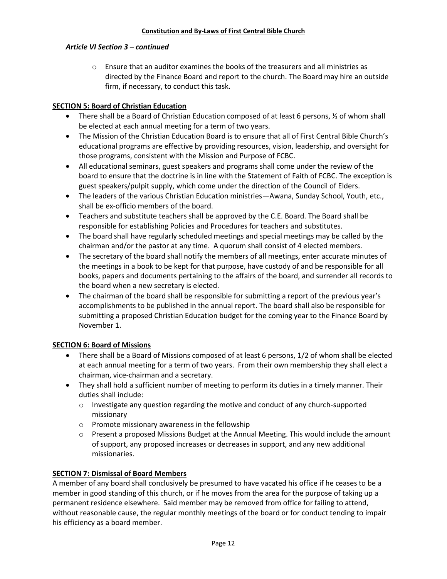## *Article VI Section 3 – continued*

 $\circ$  Ensure that an auditor examines the books of the treasurers and all ministries as directed by the Finance Board and report to the church. The Board may hire an outside firm, if necessary, to conduct this task.

# **SECTION 5: Board of Christian Education**

- There shall be a Board of Christian Education composed of at least 6 persons,  $\frac{1}{2}$  of whom shall be elected at each annual meeting for a term of two years.
- The Mission of the Christian Education Board is to ensure that all of First Central Bible Church's educational programs are effective by providing resources, vision, leadership, and oversight for those programs, consistent with the Mission and Purpose of FCBC.
- All educational seminars, guest speakers and programs shall come under the review of the board to ensure that the doctrine is in line with the Statement of Faith of FCBC. The exception is guest speakers/pulpit supply, which come under the direction of the Council of Elders.
- The leaders of the various Christian Education ministries—Awana, Sunday School, Youth, etc., shall be ex-officio members of the board.
- Teachers and substitute teachers shall be approved by the C.E. Board. The Board shall be responsible for establishing Policies and Procedures for teachers and substitutes.
- The board shall have regularly scheduled meetings and special meetings may be called by the chairman and/or the pastor at any time. A quorum shall consist of 4 elected members.
- The secretary of the board shall notify the members of all meetings, enter accurate minutes of the meetings in a book to be kept for that purpose, have custody of and be responsible for all books, papers and documents pertaining to the affairs of the board, and surrender all records to the board when a new secretary is elected.
- The chairman of the board shall be responsible for submitting a report of the previous year's accomplishments to be published in the annual report. The board shall also be responsible for submitting a proposed Christian Education budget for the coming year to the Finance Board by November 1.

# **SECTION 6: Board of Missions**

- There shall be a Board of Missions composed of at least 6 persons, 1/2 of whom shall be elected at each annual meeting for a term of two years. From their own membership they shall elect a chairman, vice-chairman and a secretary.
- They shall hold a sufficient number of meeting to perform its duties in a timely manner. Their duties shall include:
	- $\circ$  Investigate any question regarding the motive and conduct of any church-supported missionary
	- o Promote missionary awareness in the fellowship
	- o Present a proposed Missions Budget at the Annual Meeting. This would include the amount of support, any proposed increases or decreases in support, and any new additional missionaries.

# **SECTION 7: Dismissal of Board Members**

A member of any board shall conclusively be presumed to have vacated his office if he ceases to be a member in good standing of this church, or if he moves from the area for the purpose of taking up a permanent residence elsewhere. Said member may be removed from office for failing to attend, without reasonable cause, the regular monthly meetings of the board or for conduct tending to impair his efficiency as a board member.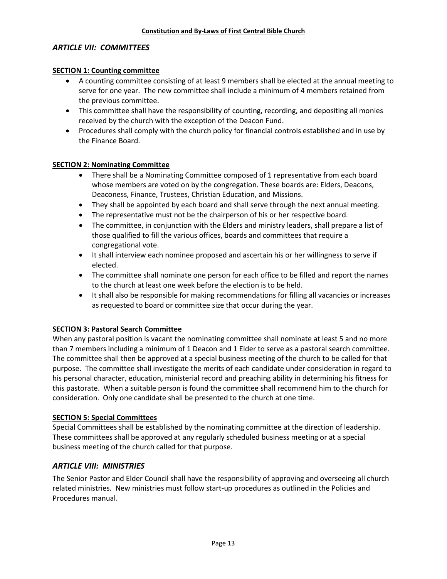## *ARTICLE VII: COMMITTEES*

## **SECTION 1: Counting committee**

- A counting committee consisting of at least 9 members shall be elected at the annual meeting to serve for one year. The new committee shall include a minimum of 4 members retained from the previous committee.
- This committee shall have the responsibility of counting, recording, and depositing all monies received by the church with the exception of the Deacon Fund.
- Procedures shall comply with the church policy for financial controls established and in use by the Finance Board.

## **SECTION 2: Nominating Committee**

- There shall be a Nominating Committee composed of 1 representative from each board whose members are voted on by the congregation. These boards are: Elders, Deacons, Deaconess, Finance, Trustees, Christian Education, and Missions.
- They shall be appointed by each board and shall serve through the next annual meeting.
- The representative must not be the chairperson of his or her respective board.
- The committee, in conjunction with the Elders and ministry leaders, shall prepare a list of those qualified to fill the various offices, boards and committees that require a congregational vote.
- It shall interview each nominee proposed and ascertain his or her willingness to serve if elected.
- The committee shall nominate one person for each office to be filled and report the names to the church at least one week before the election is to be held.
- It shall also be responsible for making recommendations for filling all vacancies or increases as requested to board or committee size that occur during the year.

## **SECTION 3: Pastoral Search Committee**

When any pastoral position is vacant the nominating committee shall nominate at least 5 and no more than 7 members including a minimum of 1 Deacon and 1 Elder to serve as a pastoral search committee. The committee shall then be approved at a special business meeting of the church to be called for that purpose. The committee shall investigate the merits of each candidate under consideration in regard to his personal character, education, ministerial record and preaching ability in determining his fitness for this pastorate. When a suitable person is found the committee shall recommend him to the church for consideration. Only one candidate shall be presented to the church at one time.

#### **SECTION 5: Special Committees**

Special Committees shall be established by the nominating committee at the direction of leadership. These committees shall be approved at any regularly scheduled business meeting or at a special business meeting of the church called for that purpose.

## *ARTICLE VIII: MINISTRIES*

The Senior Pastor and Elder Council shall have the responsibility of approving and overseeing all church related ministries. New ministries must follow start-up procedures as outlined in the Policies and Procedures manual.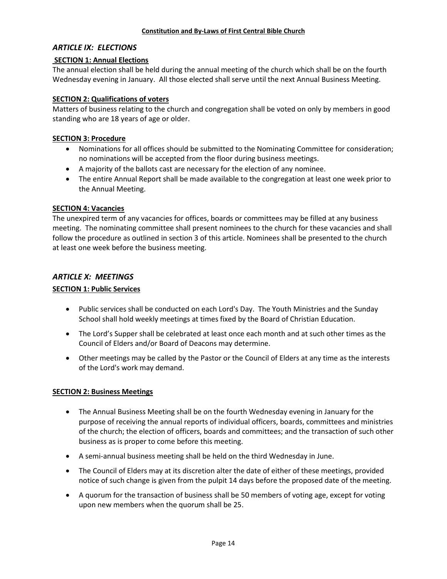## *ARTICLE IX: ELECTIONS*

## **SECTION 1: Annual Elections**

The annual election shall be held during the annual meeting of the church which shall be on the fourth Wednesday evening in January. All those elected shall serve until the next Annual Business Meeting.

## **SECTION 2: Qualifications of voters**

Matters of business relating to the church and congregation shall be voted on only by members in good standing who are 18 years of age or older.

## **SECTION 3: Procedure**

- Nominations for all offices should be submitted to the Nominating Committee for consideration; no nominations will be accepted from the floor during business meetings.
- A majority of the ballots cast are necessary for the election of any nominee.
- The entire Annual Report shall be made available to the congregation at least one week prior to the Annual Meeting.

## **SECTION 4: Vacancies**

The unexpired term of any vacancies for offices, boards or committees may be filled at any business meeting. The nominating committee shall present nominees to the church for these vacancies and shall follow the procedure as outlined in section 3 of this article. Nominees shall be presented to the church at least one week before the business meeting.

# *ARTICLE X: MEETINGS*

## **SECTION 1: Public Services**

- Public services shall be conducted on each Lord's Day. The Youth Ministries and the Sunday School shall hold weekly meetings at times fixed by the Board of Christian Education.
- The Lord's Supper shall be celebrated at least once each month and at such other times as the Council of Elders and/or Board of Deacons may determine.
- Other meetings may be called by the Pastor or the Council of Elders at any time as the interests of the Lord's work may demand.

## **SECTION 2: Business Meetings**

- The Annual Business Meeting shall be on the fourth Wednesday evening in January for the purpose of receiving the annual reports of individual officers, boards, committees and ministries of the church; the election of officers, boards and committees; and the transaction of such other business as is proper to come before this meeting.
- A semi-annual business meeting shall be held on the third Wednesday in June.
- The Council of Elders may at its discretion alter the date of either of these meetings, provided notice of such change is given from the pulpit 14 days before the proposed date of the meeting.
- A quorum for the transaction of business shall be 50 members of voting age, except for voting upon new members when the quorum shall be 25.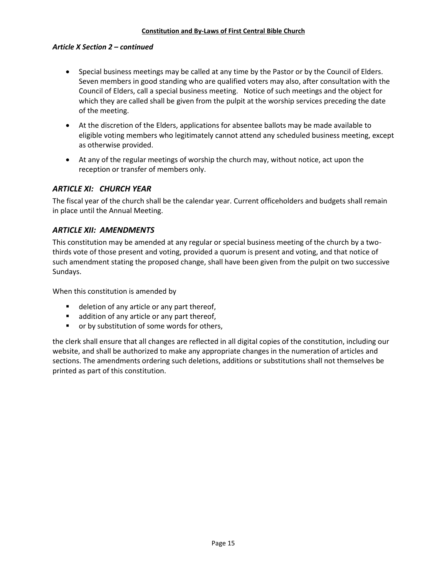#### *Article X Section 2 – continued*

- Special business meetings may be called at any time by the Pastor or by the Council of Elders. Seven members in good standing who are qualified voters may also, after consultation with the Council of Elders, call a special business meeting. Notice of such meetings and the object for which they are called shall be given from the pulpit at the worship services preceding the date of the meeting.
- At the discretion of the Elders, applications for absentee ballots may be made available to eligible voting members who legitimately cannot attend any scheduled business meeting, except as otherwise provided.
- At any of the regular meetings of worship the church may, without notice, act upon the reception or transfer of members only.

# *ARTICLE XI: CHURCH YEAR*

The fiscal year of the church shall be the calendar year. Current officeholders and budgets shall remain in place until the Annual Meeting.

## *ARTICLE XII: AMENDMENTS*

This constitution may be amended at any regular or special business meeting of the church by a twothirds vote of those present and voting, provided a quorum is present and voting, and that notice of such amendment stating the proposed change, shall have been given from the pulpit on two successive Sundays.

When this constitution is amended by

- deletion of any article or any part thereof,
- **a** addition of any article or any part thereof,
- **•** or by substitution of some words for others,

the clerk shall ensure that all changes are reflected in all digital copies of the constitution, including our website, and shall be authorized to make any appropriate changes in the numeration of articles and sections. The amendments ordering such deletions, additions or substitutions shall not themselves be printed as part of this constitution.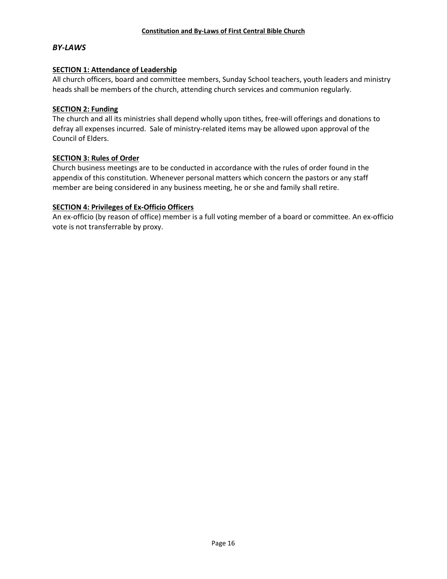## *BY-LAWS*

#### **SECTION 1: Attendance of Leadership**

All church officers, board and committee members, Sunday School teachers, youth leaders and ministry heads shall be members of the church, attending church services and communion regularly.

#### **SECTION 2: Funding**

The church and all its ministries shall depend wholly upon tithes, free-will offerings and donations to defray all expenses incurred. Sale of ministry-related items may be allowed upon approval of the Council of Elders.

#### **SECTION 3: Rules of Order**

Church business meetings are to be conducted in accordance with the rules of order found in the appendix of this constitution. Whenever personal matters which concern the pastors or any staff member are being considered in any business meeting, he or she and family shall retire.

#### **SECTION 4: Privileges of Ex-Officio Officers**

An ex-officio (by reason of office) member is a full voting member of a board or committee. An ex-officio vote is not transferrable by proxy.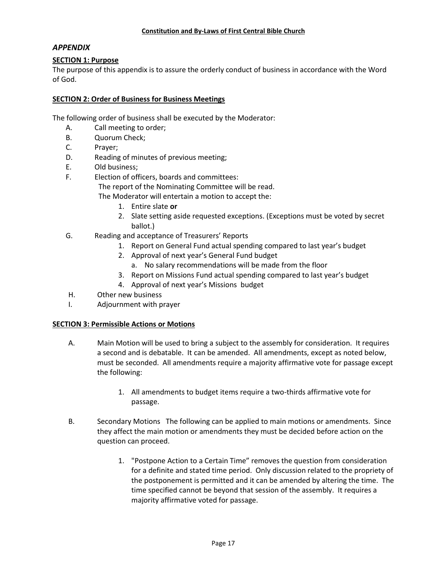## *APPENDIX*

## **SECTION 1: Purpose**

The purpose of this appendix is to assure the orderly conduct of business in accordance with the Word of God.

## **SECTION 2: Order of Business for Business Meetings**

The following order of business shall be executed by the Moderator:

- A. Call meeting to order;
- B. Quorum Check;
- C. Prayer;
- D. Reading of minutes of previous meeting;
- E. Old business;
- F. Election of officers, boards and committees:

The report of the Nominating Committee will be read.

The Moderator will entertain a motion to accept the:

- 1. Entire slate **or**
- 2. Slate setting aside requested exceptions. (Exceptions must be voted by secret ballot.)
- G. Reading and acceptance of Treasurers' Reports
	- 1. Report on General Fund actual spending compared to last year's budget
	- 2. Approval of next year's General Fund budget
		- a. No salary recommendations will be made from the floor
	- 3. Report on Missions Fund actual spending compared to last year's budget
	- 4. Approval of next year's Missions budget
- H. Other new business
- I. Adjournment with prayer

# **SECTION 3: Permissible Actions or Motions**

- A. Main Motion will be used to bring a subject to the assembly for consideration. It requires a second and is debatable. It can be amended. All amendments, except as noted below, must be seconded. All amendments require a majority affirmative vote for passage except the following:
	- 1. All amendments to budget items require a two-thirds affirmative vote for passage.
- B. Secondary Motions The following can be applied to main motions or amendments. Since they affect the main motion or amendments they must be decided before action on the question can proceed.
	- 1. "Postpone Action to a Certain Time" removes the question from consideration for a definite and stated time period. Only discussion related to the propriety of the postponement is permitted and it can be amended by altering the time. The time specified cannot be beyond that session of the assembly. It requires a majority affirmative voted for passage.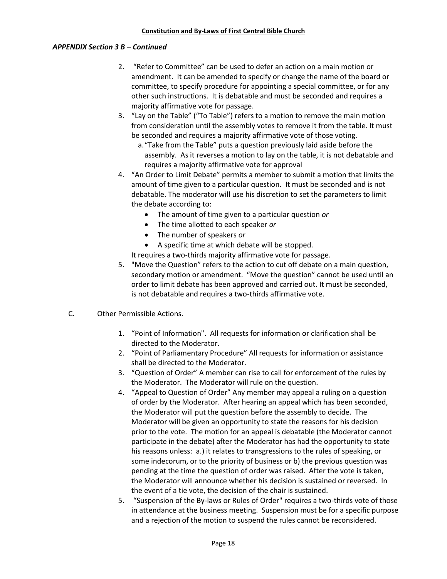## *APPENDIX Section 3 B – Continued*

- 2. "Refer to Committee" can be used to defer an action on a main motion or amendment. It can be amended to specify or change the name of the board or committee, to specify procedure for appointing a special committee, or for any other such instructions. It is debatable and must be seconded and requires a majority affirmative vote for passage.
- 3. "Lay on the Table" ("To Table") refers to a motion to remove the main motion from consideration until the assembly votes to remove it from the table. It must be seconded and requires a majority affirmative vote of those voting.
	- a."Take from the Table" puts a question previously laid aside before the assembly. As it reverses a motion to lay on the table, it is not debatable and requires a majority affirmative vote for approval
- 4. "An Order to Limit Debate" permits a member to submit a motion that limits the amount of time given to a particular question. It must be seconded and is not debatable. The moderator will use his discretion to set the parameters to limit the debate according to:
	- The amount of time given to a particular question *or*
	- The time allotted to each speaker *or*
	- The number of speakers *or*
	- A specific time at which debate will be stopped.

It requires a two-thirds majority affirmative vote for passage.

- 5. "Move the Question" refers to the action to cut off debate on a main question, secondary motion or amendment. "Move the question" cannot be used until an order to limit debate has been approved and carried out. It must be seconded, is not debatable and requires a two-thirds affirmative vote.
- C. Other Permissible Actions.
	- 1. "Point of Information". All requests for information or clarification shall be directed to the Moderator.
	- 2. "Point of Parliamentary Procedure" All requests for information or assistance shall be directed to the Moderator.
	- 3. "Question of Order" A member can rise to call for enforcement of the rules by the Moderator. The Moderator will rule on the question.
	- 4. "Appeal to Question of Order" Any member may appeal a ruling on a question of order by the Moderator. After hearing an appeal which has been seconded, the Moderator will put the question before the assembly to decide. The Moderator will be given an opportunity to state the reasons for his decision prior to the vote. The motion for an appeal is debatable (the Moderator cannot participate in the debate) after the Moderator has had the opportunity to state his reasons unless: a.) it relates to transgressions to the rules of speaking, or some indecorum, or to the priority of business or b) the previous question was pending at the time the question of order was raised. After the vote is taken, the Moderator will announce whether his decision is sustained or reversed. In the event of a tie vote, the decision of the chair is sustained.
	- 5. "Suspension of the By-laws or Rules of Order" requires a two-thirds vote of those in attendance at the business meeting. Suspension must be for a specific purpose and a rejection of the motion to suspend the rules cannot be reconsidered.